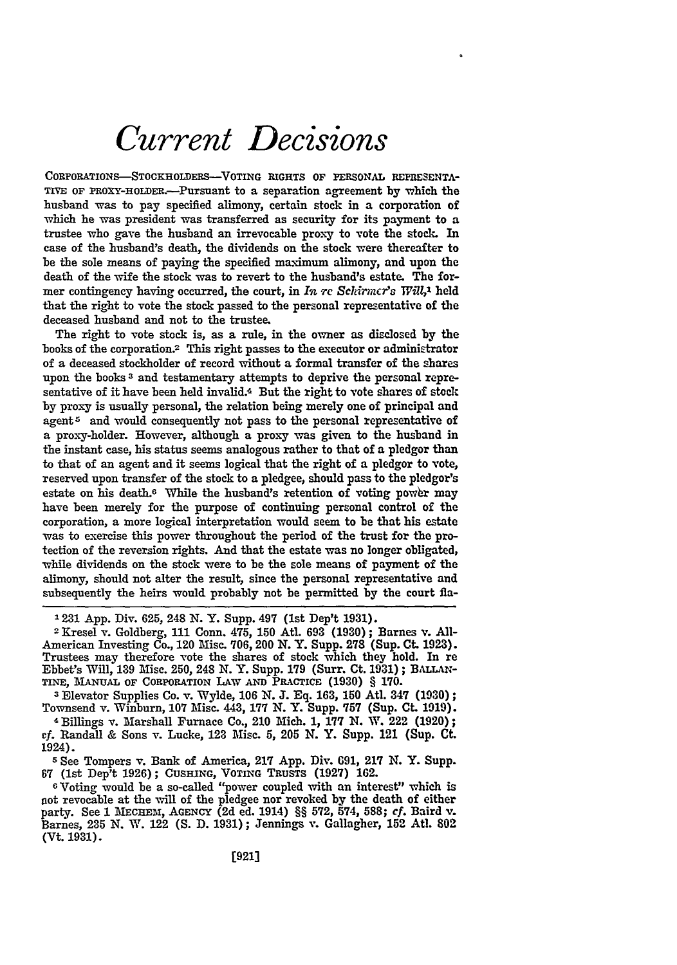## *Current Decisions*

CORPORATIONS-STOCKHOLDERS--VOTING RIGHTS OF **PERSONAL REPRESENTA-**TIVE OF PROXY-HOLDER.--Pursuant to a separation agreement **by** which the husband was to pay specified alimony, certain stock in a corporation of which he was president was transferred as security for its payment to a trustee who gave the husband an irrevocable proxy to vote the stock. In case of the husband's death, the dividends on the stock were thereafter to be the sole means of paying the specified maximum alimony, and upon the death of the wife the stock was to revert to the husband's estate. The former contingency having occurred, the court, in *In rc Schirmcr's TViI, 1* held that the right to vote the stock passed to the personal representative of the deceased husband and not to the trustee.

The right to vote stock is, as a rule, in the owner as disclosed by the books of the corporation.2 This right passes to the executor or administrator of a deceased stockholder of record without a formal transfer of the shares upon the books<sup>3</sup> and testamentary attempts to deprive the personal representative of it have been held invalid.4 But the right to vote shares of stock by proxy is usually personal, the relation being merely one of principal and agent<sup>5</sup> and would consequently not pass to the personal representative of a proxy-holder. However, although a proxy was given to the husband in the instant case, his status seems analogous rather to that of a pledgor than to that of an agent and it seems logical that the right of a pledgor to vote, reserved upon transfer of the stock to a pledgee, should pass to the pledgor's estate on his death. $6$  While the husband's retention of voting power may have been merely for the purpose of continuing personal control of the corporation, a more logical interpretation would seem to be that his estate was to exercise this power throughout the period of the trust for the protection of the reversion rights. And that the estate was no longer obligated, while dividends on the stock were to be the sole means of payment of the alimony, should not alter the result, since the personal representative and subsequently the heirs would probably not be permitted by the court fla-

1231 App. Div. 625, 248 **N.** Y. Supp. 497 (1st Dep't 1931). <sup>2</sup> Kresel v. Goldberg, **111** Conn. 475, **150** Atl. **693 (1930) ;** Barnes **v. All-**

American Investing Co., 120 Misc. **706, 200 N.** Y. Supp. **278** (Sup. **Ct. 1923).** Trustees may therefore vote the shares of stock which they hold. In re Ebbet's **Will, 139** Misc. **250,** 248 **N.** Y. Supp. **179** (Surr. Ct. **1931) ; BAILAN-**TINE, MANUAL OF CORPORATION LAW AND PRACTICE (1930) § 170.

**3** Elevator Supplies Co. **v.** Wylde, **106 N. J. Eq. 163, 150** Atl. 347 **(1930);** Townsend v. Winburn, **107** Misc. 443, **177 N.** Y. Supp. **757** (Sup. **Ct. 1919).**

4 Billings v. Marshall Furnace Co., 210 Mich. **1, 177 N.** W. 222 **(1920);** *cf.* **Randall &** Sons v. Lucke, **123** Misc. **5, 205 N.** Y. Supp. 121 (Sup. **Ct** 1924).

**5 See** Tompers v. Bank of America, 217 **App.** Div. **691, 217** N. Y. Supp. **67** (1st Dep't **1926); CUsHING, VoTING** TRUSTS **(1927) 162.**

G Voting would be a so-called "power coupled with an interest" which is not revocable at the will of the pledgee nor revoked **by** the death of either party. See 1 MECHEM, AGENCY (2d ed. 1914) §§ 572, 574, 588; cf. Baird v. Barnes, **235 N.** W. 122 **(S. D. 1931);** Jennings v. Gallagher, **152** Atl. 802 (Vt. **1931).**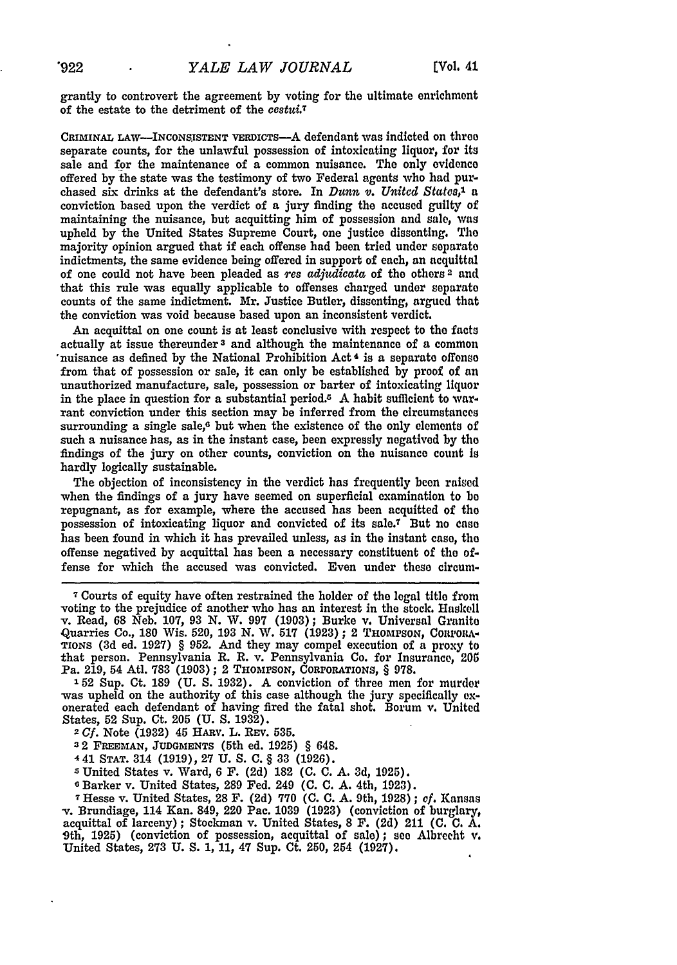grantly to controvert the agreement by voting for the ultimate enrichment of the estate to the detriment of the *cestuij*

CRIMINAL LAWY-INCONSISTENT **vERDICTs-A** defendant was indicted on three separate counts, for the unlawful possession of intoxicating liquor, for **its** sale and for the maintenance of a common nuisance. The only evidence offered **by** the state was the testimony of two Federal agents who had purchased six drinks at the defendant's store. In *Dunn v. United States*,<sup>1</sup> a conviction based upon the verdict of a jury finding the accused guilty of maintaining the nuisance, but acquitting him of possession and sale, was upheld **by** the United States Supreme Court, one justice dissenting. The majority opinion argued that if each offense had been tried under separate indictments, the same evidence being offered in support of each, an acquittal of one could not have been pleaded as *res adjudicata* of the others **2** and that this rule was equally applicable to offenses charged under separate counts of the same indictment. Mr. Justice Butler, dissenting, argued that the conviction was void because based upon an inconsistent verdict.

An acquittal on one count is at least conclusive with respect to the facts actually at issue thereunder 3 and although the maintenance of a common nuisance as defined **by** the National Prohibition Act <sup>4</sup>**is** a separate offense from that of possession or sale, it can only be established **by** proof of an unauthorized manufacture, sale, possession or barter of intoxicating liquor in the place in question for a substantial period.<sup>5</sup> A habit sufficient to warrant conviction under this section may be inferred from the circumstances surrounding a single sale,<sup>6</sup> but when the existence of the only elements of such a nuisance has, as in the instant case, been expressly negatived **by** the findings of the jury on other counts, conviction on the nuisance count is hardly logically sustainable.

The objection of inconsistency in the verdict has frequently been raised when the findings of **a** jury have seemed on superficial examination to **be** repugnant, as for example, where the accused has been acquitted of the possession of intoxicating liquor and convicted of its sale.<sup>7</sup> But no case has been found in which it has prevailed unless, as in the instant case, the offense negatived **by** acquittal has been a necessary constituent of the **of**fense for which the accused was convicted. Even under these circum-

**7** Courts of equity have often restrained the holder of the legal title from v. Read, 68 Neb. 107, 93 N. W. 997 (1903); Burke v. Universal Granite Quarries Co., **180** Wis. 520, **193 N.** W. **517 (1923);** 2 THOMPSON, CORPORA-**TIONS (3d** ed. **1927)** § **952.** And they may compel execution of a proxy to that person. Pennsylvania R. **R.** v. Pennsylvania Co. for Insurance, **205** Pa. **219,** 54 Atl. **783 (1903) ;** 2 THOMPSON, **CORPORATIONS,** § **978.**

**152** Sup. Ct. **189 (U. S. 1932).** A conviction of three men for murder was upheld on the authority of this case although the jury specifically exonerated each defendant of having fired the fatal shot. Borum v. United States, **52** Sup. Ct. **205 (U. S. 1932).**

*2 Cf.* Note **(1932)** 45 HARV. L. Rlv. **535.**

**22 FREEMAN, JUDGMENTS** (5th **ed. 1925)** § 648.

441 **STAT.** 314 **(1919), 27 U. S. C.** § **33 (1926).**

**5** United States v. Ward, **6** F. **(2d) 182 (C. C. A. 3d, 1925).**

**6** Barker v. United States, **289** Fed. 249 **(C. C. A.** 4th, **1923).**

**7** Hesse v. United States, **28** F. **(2d) 770 (C. C. A.** 9th, **1928)** ; *of.* Kansas v. Brundiage, 114 Kan. 849, 220 Pac. **1039 (1923)** (conviction of burglary, acquittal of larceny) ; Stockman v. United States, **8 F. (2d)** 211 **(C. C. A.** 9th, **1925)** (conviction of possession, acquittal of sale); see Albrecht v. United States, **273 U. S. 1, 11,** 47 Sup. Ct. **250,** 254 **(1927).**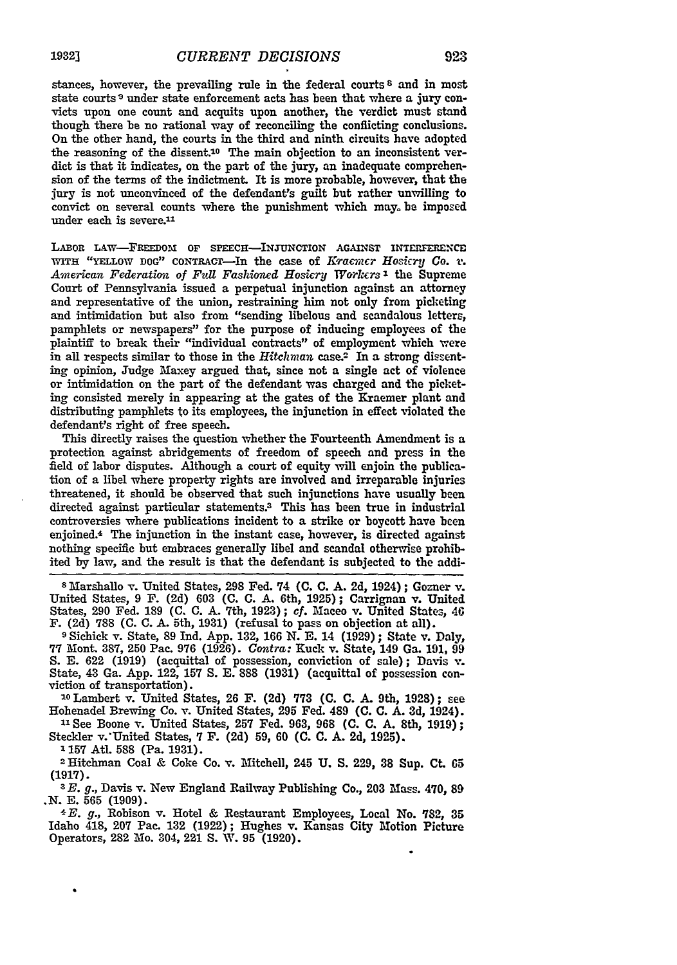stances, however, the prevailing rule in the federal courts **<sup>8</sup>**and in most state courts<sup>9</sup> under state enforcement acts has been that where a jury convicts upon one count and acquits upon another, the verdict must stand though there be no rational way of reconciling the conflicting conclusions. On the other hand, the courts in the third and ninth circuits have adopted the reasoning of the dissent.<sup>10</sup> The main objection to an inconsistent verdict is that it indicates, on the part of the jury, an inadequate comprehension of the terms of the indictment. It is more probable, however, that the jury is not unconvinced of the defendant's guilt but rather unwilling to convict on several counts where the punishment which may. be imposed under each is severe.<sup>11</sup>

LABOR LAW-FREEDOM OF SPEECH-INJUNCTION AGAINST INTERFERENCE WITH "YELLOW DOG" CONTRACT-In the case of *Kracmer Hosicry Co. v. Anerican Federatiom of Fdll Fashioned Hosiery Worl:rs* 2 the Supreme Court of Pennsylvania issued a perpetual injunction against an attorney and representative of the union, restraining him not only from picketing and intimidation but also from "sending libelous and scandalous letters, pamphlets or newspapers" for the purpose of inducing employees of the plaintiff to break their "individual contracts" of employment which were in all respects similar to those in the *Hitchman* case.<sup>2</sup> In a strong dissenting opinion, Judge Maxey argued that, since not a single act of violence or intimidation on the part of the defendant was charged and the picketing consisted merely in appearing at the gates of the Kraemer plant and distributing pamphlets to its employees, the injunction in effect violated the defendant's right of free speech.

This directly raises the question whether the Fourteenth Amendment is a protection against abridgements of freedom of speech and press in the field of labor disputes. Although a court of equity will enjoin the publication of a libel where property rights are involved and irreparable injuries threatened, it should be observed that such injunctions have usually been directed against particular statements.<sup>3</sup> This has been true in industrial controversies where publications incident to a strike or boycott have been enjoined.4 The injunction in the instant case, however, is directed against nothing specific but embraces generally libel and scandal otherwise prohibited by law, and the result is that the defendant is subjected to the addi-

**8** Marshallo v. United States, **298** Fed. 74 **(C. C.** A. **2d,** 1924) **;** Gozner **v.** United States, 9 F. (2d) 603 **(C. C.** A. 6th, **1925);** Carrignan v. United States, 290 Fed. **189 (C. C. A.** 7th, **1923);** *cf.* Maceo v. United States, **46** F. **(2d) 788 (C. C. A.** 5th, **1931)** (refusal to pass on objection at all). **<sup>9</sup>**Sichick v. State, **89** Ind. **App. 132, 166 N. E.** 14 **(1929)** ; State v. Daly,

**77** Mont. **387, 250** Pac. **976 (1926).** *Contra:* Kuck v. State, 149 Ga. **191, 99 S. E. 622 (1919)** (acquittal of possession, conviction of sale); Davis v. State, 43 Ga. **App.** 122, **157 S. E. 888 (1931)** (acquittal of possession con- viction of transportation).

**'I** Lambert v. United States, **26** F. **(2d) 773 (C. C. A.** 9th, **1928);** see Hohenadel Brewing Co. v. United States, **295** Fed. 489 **(C. C. A. 3d,** 1924).

**"See** Boone v. United States, **257** Fed. **963, 968 (C. C. A.** 8th, **1919);** Steckler v.\*United States, **7 F. (2d) 59, 60 (C. C. A. 2d, 1925).**

**<sup>1</sup>157** Atl. **588** (Pa. **1931).** <sup>2</sup> Hitchman Coal **&** Coke Co. v. Mitchell, 245 **U. S. 229, 38** Sup. Ct. **<sup>65</sup> (1917).**

*-E. g.,* Davis v. New England Railway Publishing Co., **203** Mass. 470, **89 .N. E. 565 (1909).**

*I-E. g.,* Robison v. Hotel **&** Restaurant Employees, Local No. **782, 35** Idaho 418, **207** Pac. **132 (1922);** Hughes v. Kansas City Motion Picture Operators, 282 Mo. 304, 221 **S.** W. 95 **(1920).**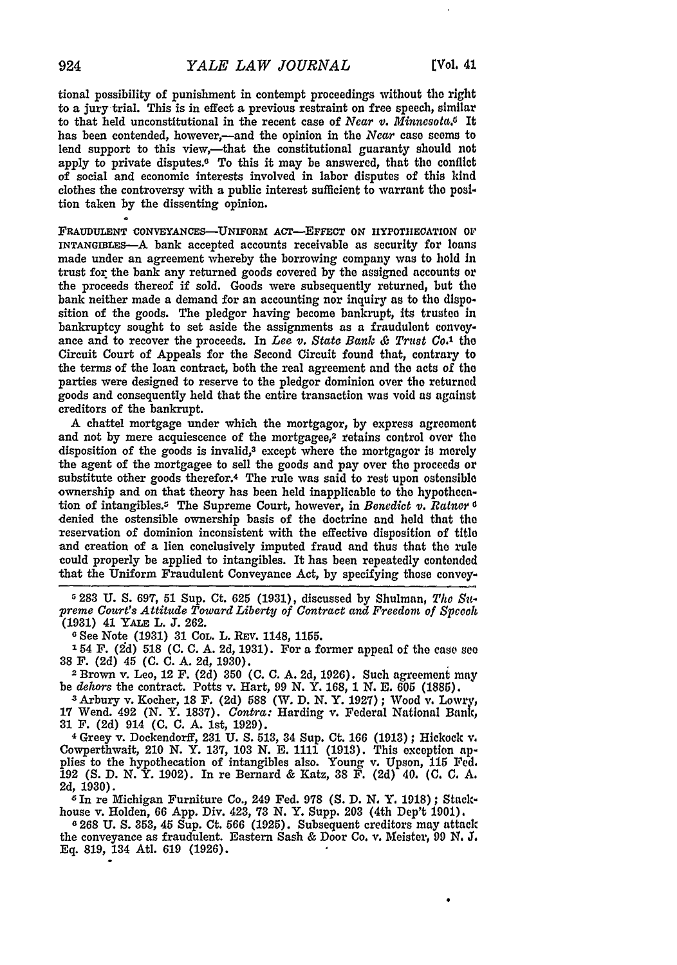tional possibility of punishment in contempt proceedings without the right to a jury trial. This is in effect a previous restraint on free speech, similar to that held unconstitutional in the recent case of *Near v. Minnesota.4* It has been contended, however,-and the opinion in the *Near* case **seems** to lend support to this view,-that the constitutional guaranty should not apply to private disputes.6 To this it may be answered, that the conflict of social and economic interests involved in labor disputes of this kind clothes the controversy with a public interest sufficient to warrant **the** position taken **by** the dissenting opinion.

FRAUDULENT CONVEYANCES-UNIFORM ACT-EFFECT ON HYPOTHECATION OF **INTANGIBLES--A** bank accepted accounts receivable as security for loans made under an agreement whereby the borrowing company was to hold In trust **for** the bank any returned goods covered **by** the assigned accounts or the proceeds thereof if sold. Goods were subsequently returned, but the bank neither made a demand for an accounting nor inquiry as to the disposition of the goods. The pledgor having become bankrupt, its trustee in bankruptcy sought to set aside the assignments as a fraudulent conveyance and to recover the proceeds. In *Lee v. State Bank & Trust Co.'* the Circuit Court of Appeals for the Second Circuit found that, contrary to the terms of the loan contract, both the real agreement and the acts of the parties were designed to reserve to the pledgor dominion over the returned goods and consequently held that the entire transaction was void as against creditors of the bankrupt.

A chattel mortgage under which the mortgagor, by express agreement and not by mere acquiescence of the mortgagee,<sup>2</sup> retains control over the disposition of the goods is invalid,<sup>3</sup> except where the mortgagor is morely the agent of the mortgagee to sell the goods and pay over the proceeds or substitute other goods therefor.4 The rule was said to rest upon ostensible ownership and on that theory has been held inapplicable to the hypothecation of intangibles.5 The Supreme Court, however, in *Benedict V. Ratner 0* denied the ostensible ownership basis of the doctrine and held that the reservation of dominion inconsistent with the effective disposition of title and creation of a lien conclusively imputed fraud and thus that the rule could properly be applied to intangibles. It has been repeatedly contended that the Uniform Fraudulent Conveyance Act, by specifying those convey-

**5** 283 U. **S.** 697, **51** Sup. Ct. **625** (1931), discussed by Shulman, *Tie Sipreme Court's Attitude Toward Liberty of Contract and Freedom of Speoch* (1931) 41 **YALE** L. **J.** 262.

<sup>0</sup>See Note (1931) 31 COL. L. **REv.** 1148, **1155.**

54 F. (2"d) **518** (C. C. A. **2d,** 1931). For a former appeal of the case see 38 F. (2d) 45 (C. **C.** A. 2d, 1930).

<sup>2</sup>Brown v. Leo, 12 F. (2d) **350** (C. C. A. 2d, 1926). Such agreement may be *dehors* the contract. Potts v. Hart, 99 N. Y. 168, **1** N. **E. 605 (1885).**

**<sup>3</sup>**Arbury v. Kocher, **18** F. (2d) **588** (W. D. N. Y. **1927)** ; Wood v. Lowry, 17 Wend. 492 (N. Y. 1837). *Contra:* Harding v. Federal National Banc, **31** F. (2d) 914 **(C. C.** A. 1st, 1929).

4 Greey v. Dockendorff, **231** U. **S.** 513, 34 Sup. Ct. **166** (1913) ; Hickock v, Cowperthwait, 210 N. Y. 137, 103 N. **E.** 1111 **(1913).** This exception applies to the hypothecation of intangibles also. Young v. Upson, **115 Fed.** 192 *(S.* D. N. Y. 1902). In re Bernard & Katz, **38** F. (2d) 40. **(C. C.** A. 2d, 1930).

**5** In re Michigan Furniture Co., 249 Fed. **978 (S.** D. N. Y. **1918)** ; Stackhouse v. Holden, **66 App.** Div. 423, **73 N.** Y. Supp. **203** (4th Dep't **1901). 8 268 U. S. 353,** 45 Sup. Ct. **566 (1925).** Subsequent creditors may attack

the conveyance as fraudulent. Eastern Sash **&** Door Co. v. Meister, 99 *X. J.* **Eq. 819,** 134 Atl. **619 (1926).**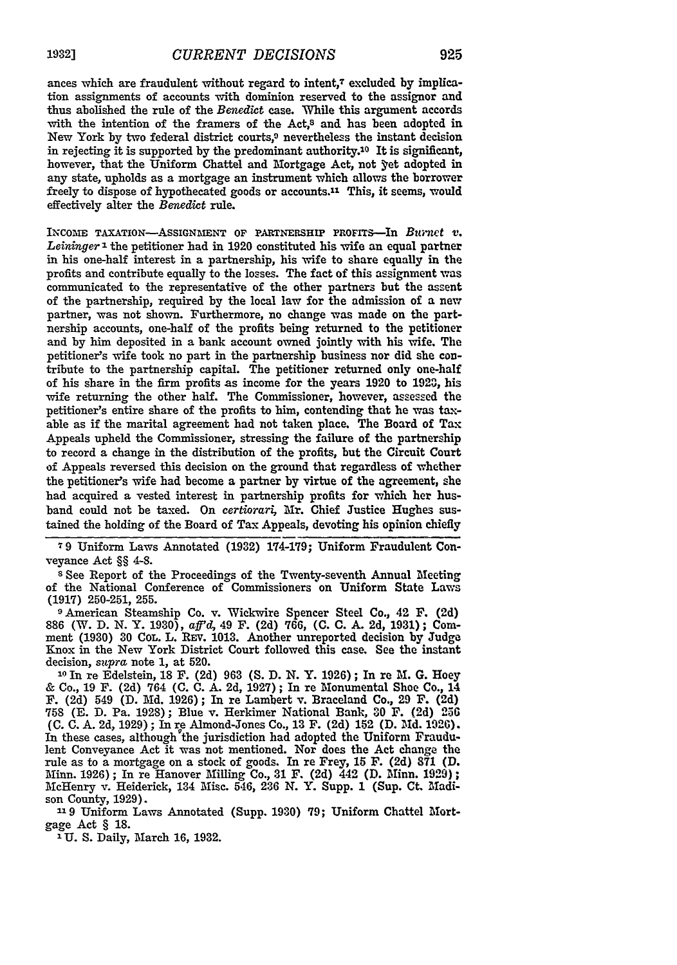ances which are fraudulent without regard to intent,7 excluded **by** implication assignments of accounts with dominion reserved to the assignor and thus abolished the rule of the *Benedict* case. While this argument accords with the intention of the framers of the Act,<sup>8</sup> and has been adopted in New York by two federal district courts,<sup>0</sup> nevertheless the instant decision in rejecting it is supported **by** the predominant **authority.10** It is significant, however, that the Uniform Chattel and Mortgage Act, not yet adopted in any state, upholds as a mortgage an instrument which allows the borrower freely to dispose of hypothecated goods or accounts.<sup>11</sup> This, it seems, would effectively alter the *Benedict* rule.

INCOME TAXATION-ASSIGNMENT OF PARTNERSHIP PROFITS-In *Burnet v*. *Leiningerl* the petitioner had in 1920 constituted his wife an equal partner in his one-half interest in a partnership, his wife to share equally in the profits and contribute equally to the losses. The fact of this assignment was communicated to the representative of the other partners but the assent of the partnership, required **by** the local law for the admission of a new partner, was not shown. Furthermore, no change was made on the partnership accounts, one-half of the profits being returned to the petitioner and **by** him deposited in a bank account owned jointly with his wife. The petitioner's wife took no part in the partnership business nor did she contribute to the partnership capital. The petitioner returned only one-half of his share in the firm profits as income for the years **1920** to 1923, his wife returning the other half. The Commissioner, however, assessed the petitioner's entire share of the profits to him, contending that he was taxable as if the marital agreement had not taken place. The Board of Tax Appeals upheld the Commissioner, stressing the failure of the partnership to record a change in the distribution of the profits, but the Circuit Court of Appeals reversed this decision on the ground that regardless of whether the petitioner's wife had become a partner **by** virtue of the agreement, she had acquired a vested interest in partnership profits for which her husband could not be taxed. On *certiorari,* Mr. Chief Justice Hughes sustained the holding of the Board of Tax Appeals, devoting his opinion chiefly

**7** 9 Uniform Laws Annotated (1932) **174-179;** Uniform Fraudulent Conveyance Act §§ 4-8.

**8** See Report of the Proceedings of the Twenty-seventh Annual Meeting of the National Conference of Commissioners on Uniform State Laws (1917) **250-251,** 255.

**9** American Steamship Co. v. Wickwire Spencer Steel Co., 42 F. **(2d) 886** (W. **D. N.** Y. **1930),** *affd,* 49 F. **(2d) 766, (C. C. A. 2d, 1931);** Comment **(1930) 30** CoL. L. REv. **1013.** Another unreported decision **by** Judge Knox in the New York District Court followed this case. See the instant decision, *szpra* note **1,** at **520.**

**1 <sup>0</sup>**In re Edelstein, **18** F. **(2d) 963 (S. D. N.** Y. **1926)** ; In re **M. G.** Hoey **&** Co., **19** F. **(2d)** 764 **(C. C. A. 2d, 1927);** In re Monumental Shoe Co., 14 F. **(2d)** 549 **(D. Md. 1926); In** re Lambert v. Braceland Co., **29 F. (2d) 758 (E. D.** Pa. **1928);** Blue v. Herkimer National Bank, **30 F. (2d) 25G (C. C. A. 2d, 1929);** In re Almond-Jones Co., **13** F. **(2d) 152 (D. Md. 1920).** In these cases, although the jurisdiction had adopted the Uniform Fraudulent Conveyance Act it was not mentioned. Nor does the Act change the rule as to a mortgage on a stock of goods. In re Frey, **15 F. (2d) 871 (D.** Mlinn. **1926) ;** In re Hanover Milling Co., **31** F. (2d) 442 **(D.** Mlinn. **1929) ;** McHenry v. Heiderick, 134 Misc. 546, **236 N.** Y. Supp. **I** (Sup. **Ct.** Madison County, 1929).

**11 9** Uniform Laws Annotated (Supp. **1930) 79;** Uniform Chattel Mortgage Act § **18.**

**1 U. S.** Daily, March **16, 1932.**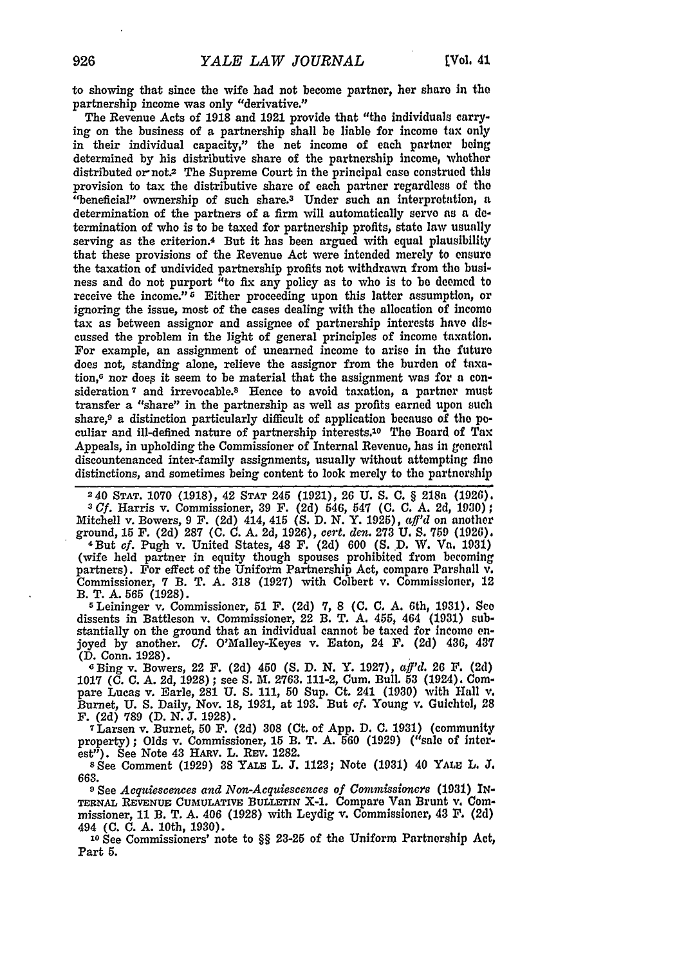to showing that since the wife had not become partner, her share in tho partnership income was only "derivative."

The Revenue Acts of **1918** and **1921** provide that "the individuals carrying on the business of a partnership shall be liable for income tax only in their individual capacity," the net income of each partner being determined **by** his distributive share of the partnership income, whether distributed or not.<sup>2</sup> The Supreme Court in the principal case construed this provision to tax the distributive share of each partner regardless of the "beneficial" ownership of such share.3 Under such an interpretation, **a** determination of the partners of a firm **will** automatically serve as **a** determination of who is to be taxed for partnership profits, state law usually serving as the criterion.4 But it has been argued with equal plausibility that these provisions of the Revenue Act were intended merely to ensure the taxation of undivided partnership profits not withdrawn from the business and do not purport "to **fix** any policy as to who is to **be** deemed to receive the income."<sup>5</sup> Either proceeding upon this latter assumption, or ignoring the issue, most of the cases dealing with the allocation of income tax as between assignor and assignee of partnership interests have discussed the problem in the light of general principles of income taxation. For example, an assignment of unearned income to arise in the future does not, standing alone, relieve the assignor from the burden of taxation,<sup>6</sup> nor does it seem to be material that the assignment was for a consideration<sup>7</sup> and irrevocable.<sup>8</sup> Hence to avoid taxation, a partner must transfer a "share" in the partnership as well as profits earned upon such share,9 a distinction particularly difficult of application because of the **pe**culiar and ill-defined nature of partnership interests.1o The Board of Tax Appeals, in upholding the Commissioner of Internal Revenue, has in general discountenanced inter-family assignments, usually without attempting fine distinctions, and sometimes being content to look merely to the partnership

240 **STAT. 1070 (1918),** 42 **STAT** 245 **(1921), 26 U. S. C.** § 218a **(1926). 3** *Cf.* Harris v. Commissioner, **39** F. **(2d)** 546, 547 **(C. C. A.** 2d, **1930);** Mitchell v. Bowers, 9 F. **(2d)** 414, 415 **(S. D. N.** Y. **1925),** aff'd on another ground, **15** F. **(2d) 287 (C. C. A. 2d, 1926),** cert. *den.* **273 U. S. 759** (1926). 4But *of.* Pugh v. United States, 48 **F. (2d) 600 (S. D.** W. Va. **1931)**  $4$  But *cf*. Pugh v. United States, 48 F. (2d) 600 (S. D. W. Va. 1931) (wife held partner in equity though spouses prohibited from becoming partners). For effect of the Uniform Partnership Act, compare Parshall v. Commissioner, **7** B. T. **A. 318 (1927)** with Colbert v. Commissioner, 12 B. T. **A. 565 (1928).**

**5** Leininger v. Commissioner, **51** F. **(2d) 7, 8 (C. C. A.** 6th, **1931). See** dissents in Battleson v. Commissioner, 22 B. T. **A.** 455, 464 **(1931)** substantially on the ground that an individual cannot **be** taxed for income enjoyed **by** another. *Cf.* O'Malley-Keyes v. Eaton, 24 **F. (2d)** 436, 437 **(D.** Conn. **1928).**

**6** Bing v. Bowers, 22 F. **(2d)** 450 **(S. D. N.** Y. **1927),** *aff'd.* 26 **F. (2d) 1017 (C. C. A. 2d, 1928) ;** see **S. l. 2763.** 111-2, Cum. Bull. **53** (1924). Compare Lucas v. Earle, **281 U. S. 111, 50** Sup. Ct. 241 **(1930)** with Hall v. Burnet, **U. S.** Daily, Nov. **18, 1931,** at **193.** But **of.** Young v. Gulchtel, **28** F. **(2d) 789 (D. N. J. 1928).**

7Larsen v. Burnet, **50** F. **(2d) 308** (Ct. of **App. D. C. 1931)** (community property); Olds v. Commissioner, **15** B. T. **A. 560 (1929)** ("sale of interest"). See Note 43 HARv. L. REV. 1282.

**8See** Comment **(1929) 38** YALE L. **J. 1123;** Note **(1931)** 40 YALE L. **J. 663.**

**9** See *Acquiescences and Non-Acquiescences of Commissioncrs* **(1931) IN-TEENAL REVENUE CUMULATIVE BULLETIN** X-1. Compare Van Brunt **v.** Commissioner, **11** B. T. **A.** 406 **(1928)** with Leydig v. Commissioner, 43 **1". (2d)** 494 **(C. C. A.** 10th, **1930).**

**<sup>10</sup>**See Commissioners' note to §§ **23-25** of the Uniform Partnership Act, Part 5.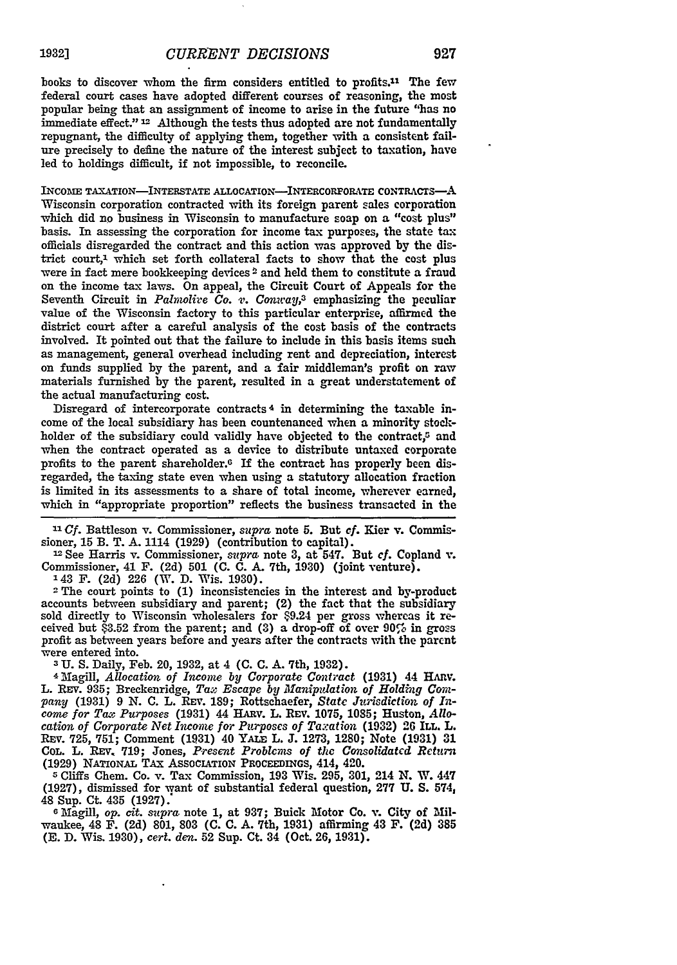books to discover whom the firm considers entitled to **profits."** The few federal court cases have adopted different courses of reasoning, the most popular being that an assignment of income to arise in the future "has no immediate effect."<sup>12</sup> Although the tests thus adopted are not fundamentally repugnant, the difficulty of applying them, together with a consistent fail**ure** precisely to define the nature of the interest subject to taxation, have led to holdings difficult, if not impossible, to reconcile.

INCOME TAXATION-INTERSTATE ALLOCATION-INTERCORPORATE CONTRACTS-A Wisconsin corporation contracted with its foreign parent sales corporation which did no business in Wisconsin to manufacture soap on a "cost plus" basis. In assessing the corporation for income tax purposes, the state tax officials disregarded the contract and this action was approved **by** the district court, $<sup>1</sup>$  which set forth collateral facts to show that the cost plus</sup> were in fact mere bookkeeping devices<sup>2</sup> and held them to constitute a fraud on the income tax laws. On appeal, the Circuit Court of Appeals for the Seventh Circuit in *Palhwlive Co. v. Conway,3* emphasizing the peculiar value of the Wisconsin factory to this particular enterprise, affirmed the district court after a careful analysis of the cost basis of the contracts involved. It pointed out that the failure to include in this basis items such as management, general overhead including rent and depreciation, interest on funds supplied by the parent, and a fair middleman's profit on raw materials furnished by the parent, resulted in a great understatement of the actual manufacturing cost.

Disregard of intercorporate contracts **-** in determining the taxable income of the local subsidiary has been countenanced when a minority stockholder of the subsidiary could validly have objected to the contract, $\bar{c}$  and when the contract operated as a device to distribute untaxed corporate profits to the parent shareholder.6 If the contract has properly been disregarded, the taxing state even when using a statutory allocation fraction is limited in its assessments to a share of total income, wherever earned, which in "appropriate proportion" reflects the business transacted in the

*"* **Cf.** Battleson v. Commissioner, *supra.* note **5.** But *cf.* Kier v. Commis-

sioner, 15 B. T. A. 1114 (1929) (contribution to capital).<br><sup>12</sup> See Harris v. Commissioner, *supra* note 3, at 547. But *cf*. Copland v. Commissioner, 41 F. (2d) **501 (C. C.** A. 7th, 1930) (joint venture).

'43 F. (2d) 226 (W. D. Wis. 1930).

<sup>2</sup> The court points to (1) inconsistencies in the interest and by-product accounts between subsidiary and parent; (2) the fact that the subsidiary sold directly to Wisconsin wholesalers for \$9.24 per gross whereas it re- ceived but **\$3.52** from the parent; and **(3)** a drop-off of over 90% in gross profit as between years before and years after the contracts with the parcnt were entered into.

**3** U. S. Daily, Feb. 20, **1932,** at 4 **(C. C.** A. 7th, 1932).

4 Magill, *Allocation of Incone by Corporate Contract* **(1931)** 44 **HArv.** L. REV. 935; Breckenridge, Tax Escape by Manipulation of Holding Company **(1931)** 9 N. **C.** L. **REV.** 189; Rottschaefer, *State Jurisdiction of In- come for Tax Purposes* **(1931)** 44 HARv. L. REV. **1075, 1085;** Huston, *Allocation of Corporate Net Income for Purposes of Taxation* **(1932)** 26 ILL. L. REV. 725, 751; Comment (1931) 40 YALE L. J. 1273, 1280; Note (1931) 31 COL. L. REV. 719; Jones, Present Problems of the Consolidated Return **(1929)** NATIONAL TAX ASSOCIATION PROCEEDINGS, 414, 420.

**5** Cliffs Chem. Co. **v.** Tax Commission, **193** Wis. **295, 301,** 214 **N.** W. 447 **(1927),** dismissed for want of substantial federal question, **277 U. S.** 574, 48 Sup. Ct. 435 **(1927).'**

**6** Magill, *op. cit. supra.* note **1,** at **937;** Buick Motor Co. v. City of Milwaukee, 48 F. **(2d) 801, 803 (C. C. A.** 7th, **1931)** affirming 43 **F. (2d) 385 (E. D.** Wis. **1930),** *cert. den.* **52** Sup. Ct. 34 (Oct. **26, 1931).**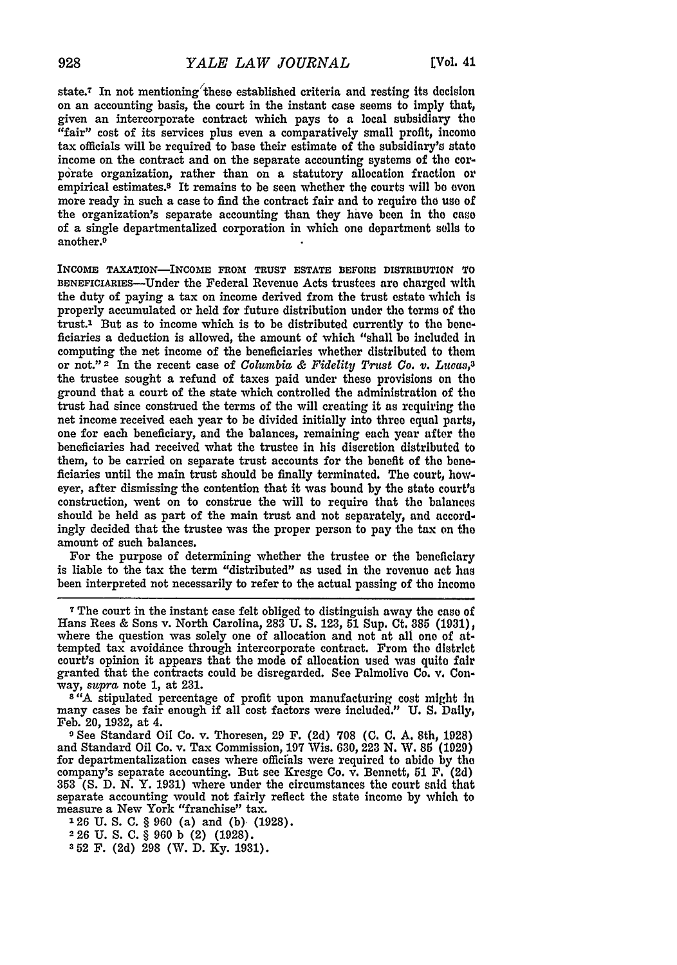state.7 In not mentioning these established criteria and resting its decision on an accounting basis, the court in the instant case seems to imply that, given an intercorporate contract which pays to a local subsidiary **the** "fair" cost of its services plus even a comparatively small profit, income tax officials will be required to base their estimate of the subsidiary's state income on the contract and on the separate accounting systems of the corporate organization, rather than on a statutory allocation fraction or empirical estimates.<sup>8</sup> It remains to be seen whether the courts will be even more ready in such a case to find the contract fair and to require the use of the organization's separate accounting than they have been in the ease of a single departmentalized corporation in which one department sells to another.<sup>9</sup>

INCOME TAXATION-INCOME **FROM TRUST ESTATE BEFORE DISTRIBUTION TO** I3NEFICLARIES-Under the Federal Revenue Acts trustees are charged with the duty of paying a tax on income derived from the trust estate which is properly accumulated or held for future distribution under the terms of the trust.' But as to income which is to be distributed currently to the beneficiaries a deduction is allowed, the amount of which "shall **be** included In computing the net income of the beneficiaries whether distributed to them or not."<sup>2</sup> In the recent case of *Columbia & Fidelity Trust Co. v. Lucas*,<sup>3</sup> the trustee sought a refund of taxes paid under these provisions on the ground that a court of the state which controlled the administration of the trust had since construed the terms of the will creating it as requiring the net income received each year to be divided initially into three equal parts, one for each beneficiary, and the balances, remaining each year after the beneficiaries had received what the trustee in his discretion distributed to them, to be carried on separate trust accounts for the benefit of the beneficiaries until the main trust should be finally terminated. The court, howeyer, after dismissing the contention that it was bound by the state court's construction, went on to construe the will to require that the balances should be held as part of the main trust and not separately, and accordingly decided that the trustee was the proper person to pay the tax on the amount of such balances.

For the purpose of determining whether the trustee or the beneficiary is liable to the tax the term "distributed" as used in the revenue act has been interpreted not necessarily to refer to the actual passing of the income

**7** The court in the instant case felt obliged to distinguish away the case of Hans Rees & Sons v. North Carolina, **283 U.** S. 123, **51** Sup. Ct. **385 (1931),** where the question was solely one of allocation and not at all one of attempted tax avoidince through intercorporate contract. From the district court's opinion it appears that the mode of allocation used was quite fair granted that the contracts could be disregarded. See Palmolive Co. v. Conway, *supra* note **1,** at 231.

**8 "A** stipulated percentage of profit upon manufacturing cost might in many cases be fair enough if all cost factors were included." **U.** S. Daily, Feb. 20, 1932, at *4.*

**0** See Standard Oil Co. v. Thoresen, 29 F. **(2d) 708 (C. C.** A. 8th, 1928) and Standard Oil Co. v. Tax Commission, 197 Wis. 630, 223 N. W. 85 (1929 for departmentalization cases where officials were required to abide by the company's separate accounting. But see Kresge Co. v. Bennett, **51** F. **(2d)** 353 **(S.** D. N. Y. 1931) where under the circumstances the court said that separate accounting would not fairly reflect the state income by which to measure a New York "franchise" tax.

**<sup>126</sup>**U. S. **C.** § 960 (a) and (b) (1928). **<sup>226</sup>**U.S.C. § **960** b (2) **(1928).**

**3 52** F. (2d) 298 (W. D. Ky. 1931).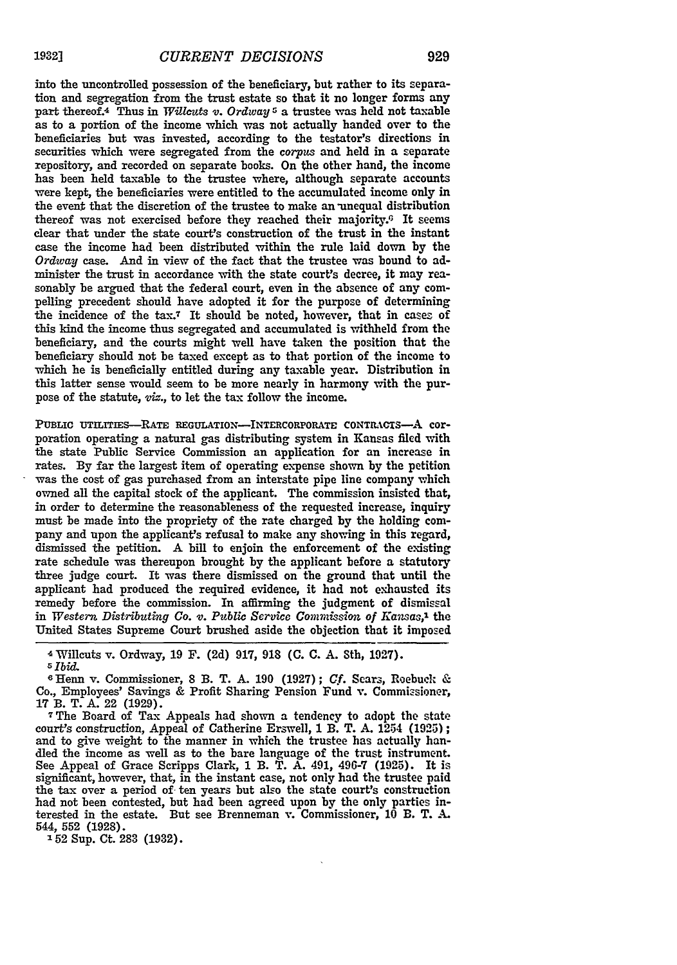into the uncontrolled possession of the beneficiary, but rather to its separation and segregation from the trust estate so that it no longer forms any part thereof.<sup>4</sup> Thus in *Willcuts v. Ordway*<sup>5</sup> a trustee was held not taxable as to a portion of the income which was not actually handed over to the beneficiaries but was invested, according to the testator's directions in securities which were segregated from the corpus and held in a separate repository, and recorded on separate books. On the other hand, the income has been held taxable to the trustee where, although separate accounts were kept, the beneficiaries were entitled to the accumulated income only in the event that the discretion of the trustee to make an unequal distribution thereof was not exercised before they reached their majority.<sup>6</sup> It seems clear that under the state court's construction of the trust in the instant case the income had been distributed within the rule laid down by the *Ordway* case. And in view of the fact that the trustee was bound to administer the trust in accordance with the state court's decree, it may reasonably be argued that the federal court, even in the absence of any compelling precedent should have adopted it for the purpose of determining the incidence of the tax.7 It should be noted, however, that in cases of this kind the income thus segregated and accumulated is withheld from the beneficiary, and the courts might well have taken the position that the beneficiary should not be taxed except as to that portion of the income to which he is beneficially entitled during any taxable year. Distribution in this latter sense would seem to be more nearly in harmony with the purpose of the statute, *viz.,* to let the tax follow the income.

PUBLIC UTILITIES-RATE REGULATION-INTERCORPORATE CONTRACTS-A corporation operating a natural gas distributing system in Kansas **filed** with the state Public Service Commission an application for an increase in rates. **By** far the largest item of operating expense shown **by** the petition was the cost of gas purchased from an interstate pipe line company which owned all the capital stock of the applicant. The commission insisted that, in order to determine the reasonableness of the requested increase, inquiry must be made into the propriety of the rate charged by the holding company and upon the applicant's refusal to make any showing in this regard, dismissed the petition. A bill to enjoin the enforcement of the existing rate schedule was thereupon brought by the applicant before a statutory three judge court. It was there dismissed on the ground that until the applicant had produced the required evidence, it had not exhausted its remedy before the commission. In affirming the judgment of dismissal in *Western Distributing Co. v. Public Service Commission of Kansas,<sup>1</sup>* the United States Supreme Court brushed aside the objection that it imposed

sHenn v. Commissioner, **8** B. T. A. **190** (1927); *Cf.* Scars, Roebuck & Co., Employees' Savings & Profit Sharing Pension Fund **v.** Commissioner, **17** B. T. **A.** 22 **(1929).**

7 The Board of Tax Appeals had shown a tendency to adopt the state court's construction, Appeal of Catherine Erswell, 1 B. T. A. 1254 (1925) **;** and to give weight to the manner in which the trustee has actually handled the income as well as to the bare language of the trust instrument. See Appeal of Grace Scripps Clark, 1 B. T. A. 491, 490-7 (1925). It is significant, however, that, in the instant case, not only had the trustee paid the tax over a period of ten years but also the state court's construction had not been contested, but had been agreed upon by the only parties interested in the estate. But see Brenneman v. Commissioner, **10** B. T. **A.** 544, **552** (1928).

**'52** Sup. Ct. **283** (1932).

<sup>4</sup> Willcuts v. Ordway, 19 F. (2d) 917, **918 (C. C.** A. Sth, 1927). *<sup>5</sup>Ibid.* <sup>0</sup>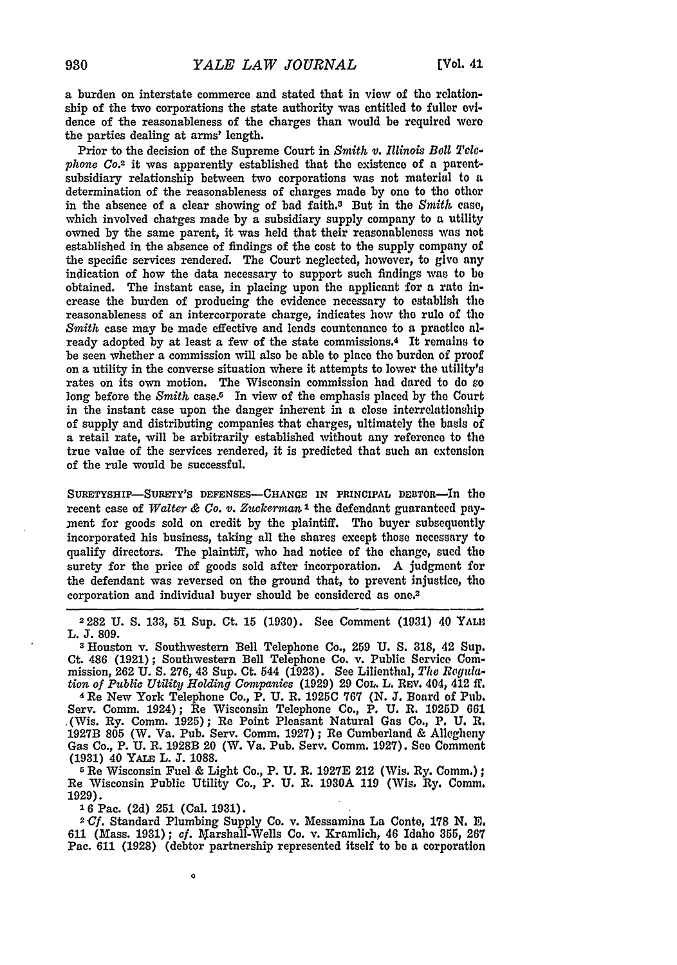a burden on interstate commerce and stated that in view of the relationship of the two corporations the state authority was entitled to fullor evidence of the reasonableness of the charges than would be required were the parties dealing at arms' length.

Prior to the decision of the Supreme Court in *Smith V. Illinois Bell Telephone* Co.2 it was apparently established that the existence of a parentsubsidiary relationship between two corporations was not material to **a** determination of the reasonableness of charges made by one to the other in the absence of a clear showing of bad faith.<sup>3</sup> But in the *Smith* case, which involved chatges made by a subsidiary supply company to a utility owned by the same parent, it was held that their reasonableness was not established in the absence of findings of the cost to the supply company of the specific services rendered. The Court neglected, however, to give any indication of how the data necessary to support such findings was to be obtained. The instant case, in placing upon the applicant for a rate increase the burden of producing the evidence necessary to establish the reasonableness of an intercorporate charge, indicates how the rule of the *Smith* case may be made effective and lends countenance to a practice already adopted by at least a few of the state commissions.4 It remains to be seen whether a commission will also be able to place the burden of proof on a utility in the converse situation where it attempts to lower the utility's rates on its own motion. The Wisconsin commission had dared to do go long before the *Smith* case.<sup>5</sup> In view of the emphasis placed by the Court in the instant case upon the danger inherent in a close interrelationship of supply and distributing companies that charges, ultimately the basis of a retail rate, will be arbitrarily established without any reference to the true value of the services rendered, it is predicted that such an extension of the rule would be successful.

SURETYSHIP-SURETY'S **DEFENSES-CHANGE IN PRINCIPAL DEBTOR-In** the recent case of *Walter & Co. v. Zuckerman* **I** the defendant guaranteed payinent for goods sold on credit **by** the plaintiff. The buyer subsequently incorporated his business, taking all the shares except those necessary to qualify directors. The plaintiff, who had notice of the change, sued the surety for the price of goods sold after incorporation. A judgment for the defendant was reversed on the ground that, to prevent injustice, the corporation and individual buyer should be considered as one.2

**2282 U. S. 133, 51** Sup. Ct. **15 (1930).** See Comment **(1931)** 40 YALE L. **J. 809.**

**<sup>3</sup>**Houston v. Southwestern Bell Telephone Co., **259 U. S.** 318, 42 Sup. Ct. 486 **(1921);** Southwestern Bell Telephone Co. v. Public Service Commission, **262 U. S. 276,** 43 Sup. Ct. 544 **(1923).** See Lilienthal, *Tleo Vvgulatiom of Public Utility Holding Companies* **(1929) 29 CoL.** L. REV. 404, 412 fr.

<sup>4</sup>*Re* New York Telephone Co., P. **U. R. 1925C 767 (N.** *J.* Board of Pub. Serv. Comm. 1924); *Re* Wisconsin Telephone Co., P. **U. R. 1925D 661** ,(Wis. **Ry.** Comm. **1925);** *Re* Point Pleasant Natural Gas Co., P. **U.** B. **1927B 805** (W. **Va.** Pub. Serv. Comm. 1927); *Re* Cumberland **&** Allegheny Gas Co., P. **U.** *R.* **1928B** 20 (W. **Va.** Pub. Serv. Comm. **1927).** See Comment **(1931)** 40 YALE L. **J. 1088.**

**SRe** Wisconsin Fuel **&** Light **Co.,** P. **U. R. 1927E 212** (Wis. **Ry.** Comm.); *Re* Wisconsin Public Utility Co., **P. U.** *R.* **1930A 119** (Wis, **Ry.** Comm. **1929).**

*1* **6 Pac. (2d) 251 (Cal. 1931).**

 $\ddot{\mathbf{Q}}$ 

*SfCf.* Standard Plumbing Supply Co. v. Messamina La Conte, **178 N.** *.* **611** (Mass. **1931);** *cf.* lAarshall-Wells Co. v. Kramlich, 46 Idaho 355, **267** Pac. **611** (1928) (debtor partnership represented itself to **be** a corporation